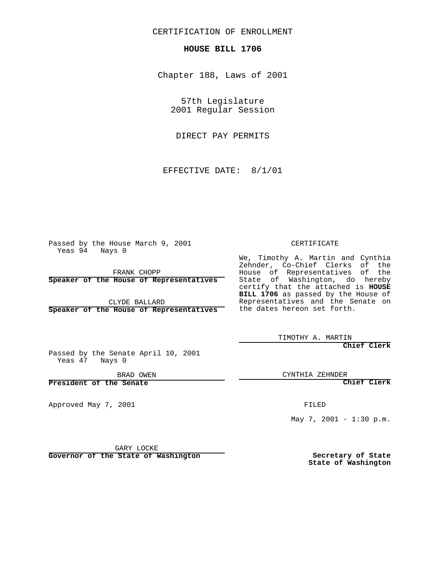CERTIFICATION OF ENROLLMENT

## **HOUSE BILL 1706**

Chapter 188, Laws of 2001

57th Legislature 2001 Regular Session

DIRECT PAY PERMITS

EFFECTIVE DATE: 8/1/01

Passed by the House March 9, 2001 Yeas 94 Nays 0

FRANK CHOPP

**Speaker of the House of Representatives**

CLYDE BALLARD **Speaker of the House of Representatives** CERTIFICATE

We, Timothy A. Martin and Cynthia Zehnder, Co-Chief Clerks of the House of Representatives of the State of Washington, do hereby certify that the attached is **HOUSE BILL 1706** as passed by the House of Representatives and the Senate on the dates hereon set forth.

TIMOTHY A. MARTIN

**Chief Clerk**

Passed by the Senate April 10, 2001 Yeas 47 Nays 0

BRAD OWEN

**President of the Senate**

Approved May 7, 2001

CYNTHIA ZEHNDER

**Chief Clerk**

FILED

May 7, 2001 - 1:30 p.m.

GARY LOCKE

**Governor of the State of Washington**

**Secretary of State State of Washington**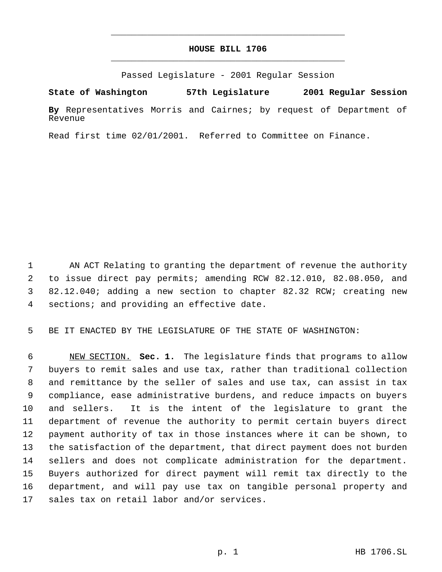## **HOUSE BILL 1706** \_\_\_\_\_\_\_\_\_\_\_\_\_\_\_\_\_\_\_\_\_\_\_\_\_\_\_\_\_\_\_\_\_\_\_\_\_\_\_\_\_\_\_\_\_

\_\_\_\_\_\_\_\_\_\_\_\_\_\_\_\_\_\_\_\_\_\_\_\_\_\_\_\_\_\_\_\_\_\_\_\_\_\_\_\_\_\_\_\_\_

Passed Legislature - 2001 Regular Session

**State of Washington 57th Legislature 2001 Regular Session**

**By** Representatives Morris and Cairnes; by request of Department of Revenue

Read first time 02/01/2001. Referred to Committee on Finance.

 AN ACT Relating to granting the department of revenue the authority to issue direct pay permits; amending RCW 82.12.010, 82.08.050, and 82.12.040; adding a new section to chapter 82.32 RCW; creating new sections; and providing an effective date.

BE IT ENACTED BY THE LEGISLATURE OF THE STATE OF WASHINGTON:

 NEW SECTION. **Sec. 1.** The legislature finds that programs to allow buyers to remit sales and use tax, rather than traditional collection and remittance by the seller of sales and use tax, can assist in tax compliance, ease administrative burdens, and reduce impacts on buyers and sellers. It is the intent of the legislature to grant the department of revenue the authority to permit certain buyers direct payment authority of tax in those instances where it can be shown, to the satisfaction of the department, that direct payment does not burden sellers and does not complicate administration for the department. Buyers authorized for direct payment will remit tax directly to the department, and will pay use tax on tangible personal property and sales tax on retail labor and/or services.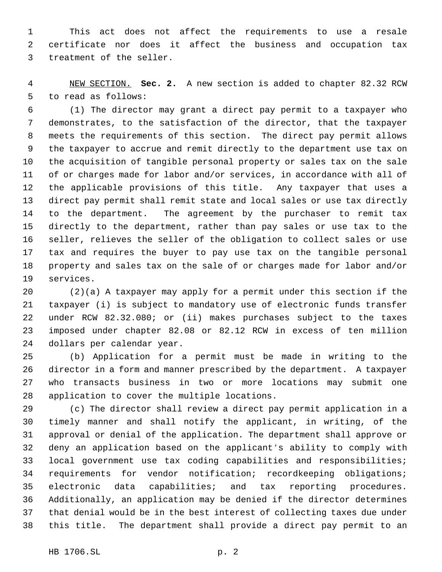This act does not affect the requirements to use a resale certificate nor does it affect the business and occupation tax treatment of the seller.

 NEW SECTION. **Sec. 2.** A new section is added to chapter 82.32 RCW to read as follows:

 (1) The director may grant a direct pay permit to a taxpayer who demonstrates, to the satisfaction of the director, that the taxpayer meets the requirements of this section. The direct pay permit allows the taxpayer to accrue and remit directly to the department use tax on the acquisition of tangible personal property or sales tax on the sale of or charges made for labor and/or services, in accordance with all of the applicable provisions of this title. Any taxpayer that uses a direct pay permit shall remit state and local sales or use tax directly to the department. The agreement by the purchaser to remit tax directly to the department, rather than pay sales or use tax to the seller, relieves the seller of the obligation to collect sales or use tax and requires the buyer to pay use tax on the tangible personal property and sales tax on the sale of or charges made for labor and/or services.

 (2)(a) A taxpayer may apply for a permit under this section if the taxpayer (i) is subject to mandatory use of electronic funds transfer under RCW 82.32.080; or (ii) makes purchases subject to the taxes imposed under chapter 82.08 or 82.12 RCW in excess of ten million dollars per calendar year.

 (b) Application for a permit must be made in writing to the director in a form and manner prescribed by the department. A taxpayer who transacts business in two or more locations may submit one application to cover the multiple locations.

 (c) The director shall review a direct pay permit application in a timely manner and shall notify the applicant, in writing, of the approval or denial of the application. The department shall approve or deny an application based on the applicant's ability to comply with local government use tax coding capabilities and responsibilities; requirements for vendor notification; recordkeeping obligations; electronic data capabilities; and tax reporting procedures. Additionally, an application may be denied if the director determines that denial would be in the best interest of collecting taxes due under this title. The department shall provide a direct pay permit to an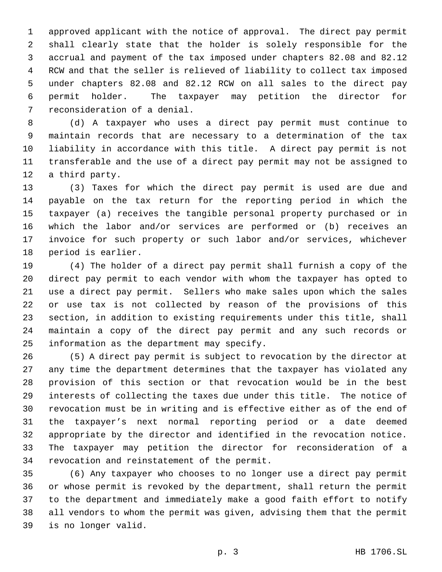approved applicant with the notice of approval. The direct pay permit shall clearly state that the holder is solely responsible for the accrual and payment of the tax imposed under chapters 82.08 and 82.12 RCW and that the seller is relieved of liability to collect tax imposed under chapters 82.08 and 82.12 RCW on all sales to the direct pay permit holder. The taxpayer may petition the director for reconsideration of a denial.

 (d) A taxpayer who uses a direct pay permit must continue to maintain records that are necessary to a determination of the tax liability in accordance with this title. A direct pay permit is not transferable and the use of a direct pay permit may not be assigned to a third party.

 (3) Taxes for which the direct pay permit is used are due and payable on the tax return for the reporting period in which the taxpayer (a) receives the tangible personal property purchased or in which the labor and/or services are performed or (b) receives an invoice for such property or such labor and/or services, whichever period is earlier.

 (4) The holder of a direct pay permit shall furnish a copy of the direct pay permit to each vendor with whom the taxpayer has opted to use a direct pay permit. Sellers who make sales upon which the sales or use tax is not collected by reason of the provisions of this section, in addition to existing requirements under this title, shall maintain a copy of the direct pay permit and any such records or information as the department may specify.

 (5) A direct pay permit is subject to revocation by the director at any time the department determines that the taxpayer has violated any provision of this section or that revocation would be in the best interests of collecting the taxes due under this title. The notice of revocation must be in writing and is effective either as of the end of the taxpayer's next normal reporting period or a date deemed appropriate by the director and identified in the revocation notice. The taxpayer may petition the director for reconsideration of a revocation and reinstatement of the permit.

 (6) Any taxpayer who chooses to no longer use a direct pay permit or whose permit is revoked by the department, shall return the permit to the department and immediately make a good faith effort to notify all vendors to whom the permit was given, advising them that the permit is no longer valid.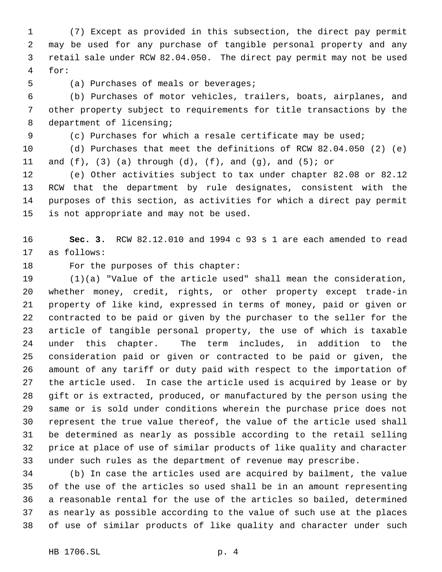(7) Except as provided in this subsection, the direct pay permit may be used for any purchase of tangible personal property and any retail sale under RCW 82.04.050. The direct pay permit may not be used for:

(a) Purchases of meals or beverages;

 (b) Purchases of motor vehicles, trailers, boats, airplanes, and other property subject to requirements for title transactions by the department of licensing;

(c) Purchases for which a resale certificate may be used;

 (d) Purchases that meet the definitions of RCW 82.04.050 (2) (e) 11 and  $(f)$ ,  $(3)$   $(a)$  through  $(d)$ ,  $(f)$ , and  $(g)$ , and  $(5)$ ; or

 (e) Other activities subject to tax under chapter 82.08 or 82.12 RCW that the department by rule designates, consistent with the purposes of this section, as activities for which a direct pay permit is not appropriate and may not be used.

 **Sec. 3.** RCW 82.12.010 and 1994 c 93 s 1 are each amended to read as follows:

18 For the purposes of this chapter:

 (1)(a) "Value of the article used" shall mean the consideration, whether money, credit, rights, or other property except trade-in property of like kind, expressed in terms of money, paid or given or contracted to be paid or given by the purchaser to the seller for the article of tangible personal property, the use of which is taxable under this chapter. The term includes, in addition to the consideration paid or given or contracted to be paid or given, the amount of any tariff or duty paid with respect to the importation of the article used. In case the article used is acquired by lease or by gift or is extracted, produced, or manufactured by the person using the same or is sold under conditions wherein the purchase price does not represent the true value thereof, the value of the article used shall be determined as nearly as possible according to the retail selling price at place of use of similar products of like quality and character under such rules as the department of revenue may prescribe.

 (b) In case the articles used are acquired by bailment, the value of the use of the articles so used shall be in an amount representing a reasonable rental for the use of the articles so bailed, determined as nearly as possible according to the value of such use at the places of use of similar products of like quality and character under such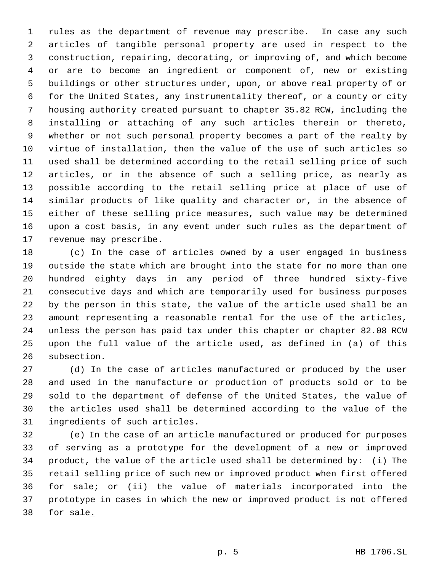rules as the department of revenue may prescribe. In case any such articles of tangible personal property are used in respect to the construction, repairing, decorating, or improving of, and which become or are to become an ingredient or component of, new or existing buildings or other structures under, upon, or above real property of or for the United States, any instrumentality thereof, or a county or city housing authority created pursuant to chapter 35.82 RCW, including the installing or attaching of any such articles therein or thereto, whether or not such personal property becomes a part of the realty by virtue of installation, then the value of the use of such articles so used shall be determined according to the retail selling price of such articles, or in the absence of such a selling price, as nearly as possible according to the retail selling price at place of use of similar products of like quality and character or, in the absence of either of these selling price measures, such value may be determined upon a cost basis, in any event under such rules as the department of revenue may prescribe.

 (c) In the case of articles owned by a user engaged in business outside the state which are brought into the state for no more than one hundred eighty days in any period of three hundred sixty-five consecutive days and which are temporarily used for business purposes by the person in this state, the value of the article used shall be an amount representing a reasonable rental for the use of the articles, unless the person has paid tax under this chapter or chapter 82.08 RCW upon the full value of the article used, as defined in (a) of this subsection.

 (d) In the case of articles manufactured or produced by the user and used in the manufacture or production of products sold or to be sold to the department of defense of the United States, the value of the articles used shall be determined according to the value of the ingredients of such articles.

 (e) In the case of an article manufactured or produced for purposes of serving as a prototype for the development of a new or improved product, the value of the article used shall be determined by: (i) The retail selling price of such new or improved product when first offered for sale; or (ii) the value of materials incorporated into the prototype in cases in which the new or improved product is not offered for sale.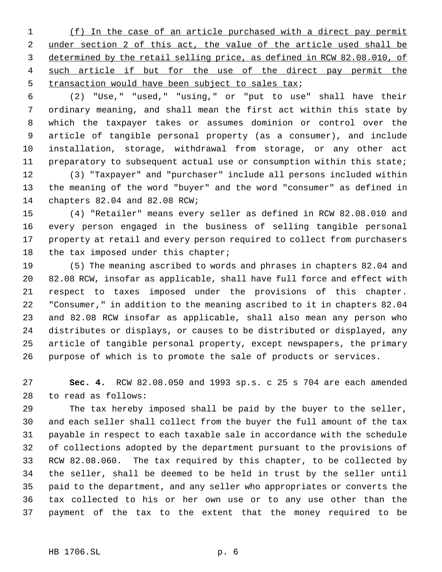(f) In the case of an article purchased with a direct pay permit under section 2 of this act, the value of the article used shall be 3 determined by the retail selling price, as defined in RCW 82.08.010, of 4 such article if but for the use of the direct pay permit the transaction would have been subject to sales tax;

 (2) "Use," "used," "using," or "put to use" shall have their ordinary meaning, and shall mean the first act within this state by which the taxpayer takes or assumes dominion or control over the article of tangible personal property (as a consumer), and include installation, storage, withdrawal from storage, or any other act preparatory to subsequent actual use or consumption within this state; (3) "Taxpayer" and "purchaser" include all persons included within

 the meaning of the word "buyer" and the word "consumer" as defined in chapters 82.04 and 82.08 RCW;

 (4) "Retailer" means every seller as defined in RCW 82.08.010 and every person engaged in the business of selling tangible personal property at retail and every person required to collect from purchasers the tax imposed under this chapter;

 (5) The meaning ascribed to words and phrases in chapters 82.04 and 82.08 RCW, insofar as applicable, shall have full force and effect with respect to taxes imposed under the provisions of this chapter. "Consumer," in addition to the meaning ascribed to it in chapters 82.04 and 82.08 RCW insofar as applicable, shall also mean any person who distributes or displays, or causes to be distributed or displayed, any article of tangible personal property, except newspapers, the primary purpose of which is to promote the sale of products or services.

 **Sec. 4.** RCW 82.08.050 and 1993 sp.s. c 25 s 704 are each amended to read as follows:

 The tax hereby imposed shall be paid by the buyer to the seller, and each seller shall collect from the buyer the full amount of the tax payable in respect to each taxable sale in accordance with the schedule of collections adopted by the department pursuant to the provisions of RCW 82.08.060. The tax required by this chapter, to be collected by the seller, shall be deemed to be held in trust by the seller until paid to the department, and any seller who appropriates or converts the tax collected to his or her own use or to any use other than the payment of the tax to the extent that the money required to be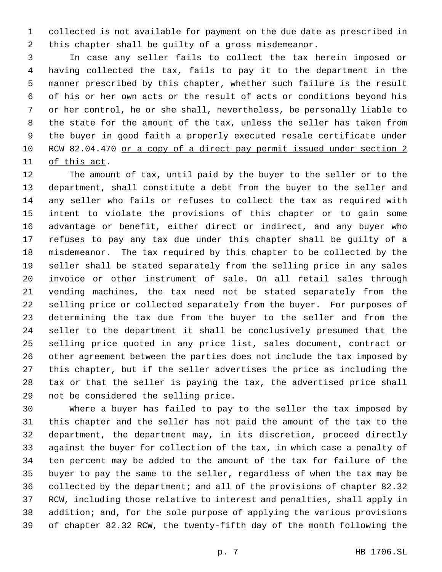collected is not available for payment on the due date as prescribed in this chapter shall be guilty of a gross misdemeanor.

 In case any seller fails to collect the tax herein imposed or having collected the tax, fails to pay it to the department in the manner prescribed by this chapter, whether such failure is the result of his or her own acts or the result of acts or conditions beyond his or her control, he or she shall, nevertheless, be personally liable to the state for the amount of the tax, unless the seller has taken from the buyer in good faith a properly executed resale certificate under RCW 82.04.470 or a copy of a direct pay permit issued under section 2 of this act.

 The amount of tax, until paid by the buyer to the seller or to the department, shall constitute a debt from the buyer to the seller and any seller who fails or refuses to collect the tax as required with intent to violate the provisions of this chapter or to gain some advantage or benefit, either direct or indirect, and any buyer who refuses to pay any tax due under this chapter shall be guilty of a misdemeanor. The tax required by this chapter to be collected by the seller shall be stated separately from the selling price in any sales invoice or other instrument of sale. On all retail sales through vending machines, the tax need not be stated separately from the selling price or collected separately from the buyer. For purposes of determining the tax due from the buyer to the seller and from the seller to the department it shall be conclusively presumed that the selling price quoted in any price list, sales document, contract or other agreement between the parties does not include the tax imposed by this chapter, but if the seller advertises the price as including the tax or that the seller is paying the tax, the advertised price shall not be considered the selling price.

 Where a buyer has failed to pay to the seller the tax imposed by this chapter and the seller has not paid the amount of the tax to the department, the department may, in its discretion, proceed directly against the buyer for collection of the tax, in which case a penalty of ten percent may be added to the amount of the tax for failure of the buyer to pay the same to the seller, regardless of when the tax may be collected by the department; and all of the provisions of chapter 82.32 RCW, including those relative to interest and penalties, shall apply in addition; and, for the sole purpose of applying the various provisions of chapter 82.32 RCW, the twenty-fifth day of the month following the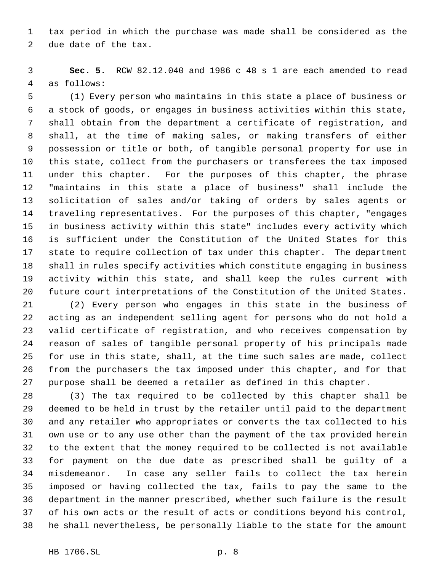tax period in which the purchase was made shall be considered as the due date of the tax.

 **Sec. 5.** RCW 82.12.040 and 1986 c 48 s 1 are each amended to read as follows:

 (1) Every person who maintains in this state a place of business or a stock of goods, or engages in business activities within this state, shall obtain from the department a certificate of registration, and shall, at the time of making sales, or making transfers of either possession or title or both, of tangible personal property for use in this state, collect from the purchasers or transferees the tax imposed under this chapter. For the purposes of this chapter, the phrase "maintains in this state a place of business" shall include the solicitation of sales and/or taking of orders by sales agents or traveling representatives. For the purposes of this chapter, "engages in business activity within this state" includes every activity which is sufficient under the Constitution of the United States for this state to require collection of tax under this chapter. The department shall in rules specify activities which constitute engaging in business activity within this state, and shall keep the rules current with future court interpretations of the Constitution of the United States.

 (2) Every person who engages in this state in the business of acting as an independent selling agent for persons who do not hold a valid certificate of registration, and who receives compensation by reason of sales of tangible personal property of his principals made for use in this state, shall, at the time such sales are made, collect from the purchasers the tax imposed under this chapter, and for that purpose shall be deemed a retailer as defined in this chapter.

 (3) The tax required to be collected by this chapter shall be deemed to be held in trust by the retailer until paid to the department and any retailer who appropriates or converts the tax collected to his own use or to any use other than the payment of the tax provided herein to the extent that the money required to be collected is not available for payment on the due date as prescribed shall be guilty of a misdemeanor. In case any seller fails to collect the tax herein imposed or having collected the tax, fails to pay the same to the department in the manner prescribed, whether such failure is the result of his own acts or the result of acts or conditions beyond his control, he shall nevertheless, be personally liable to the state for the amount